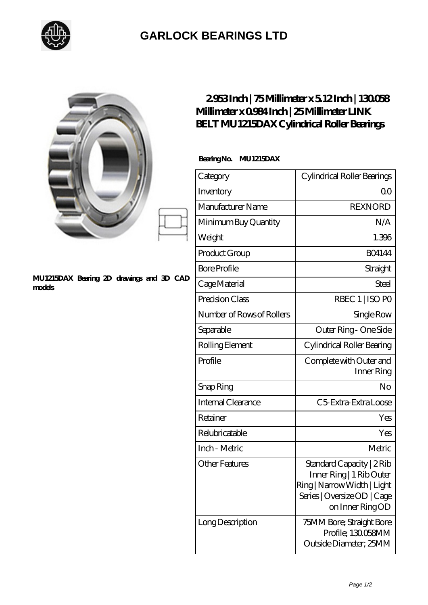

## **[GARLOCK BEARINGS LTD](https://m.letterstopriests.com)**

|                                                    | 2953Inch   75Millimeter x 512Inch   130058<br>Millimeter x 0984 Inch   25 Millimeter LINK<br><b>BELT MU1215DAX Cylindrical Roller Bearings</b> |                                                                                                                                         |
|----------------------------------------------------|------------------------------------------------------------------------------------------------------------------------------------------------|-----------------------------------------------------------------------------------------------------------------------------------------|
|                                                    | BearingNo.<br><b>MU1215DAX</b>                                                                                                                 |                                                                                                                                         |
|                                                    | Category                                                                                                                                       | Cylindrical Roller Bearings                                                                                                             |
|                                                    | Inventory                                                                                                                                      | 0 <sup>0</sup>                                                                                                                          |
|                                                    | Manufacturer Name                                                                                                                              | <b>REXNORD</b>                                                                                                                          |
|                                                    | Minimum Buy Quantity                                                                                                                           | N/A                                                                                                                                     |
|                                                    | Weight                                                                                                                                         | 1.396                                                                                                                                   |
|                                                    | Product Group                                                                                                                                  | <b>BO4144</b>                                                                                                                           |
|                                                    | <b>Bore Profile</b>                                                                                                                            | Straight                                                                                                                                |
| MU1215DAX Bearing 2D drawings and 3D CAD<br>models | Cage Material                                                                                                                                  | <b>Steel</b>                                                                                                                            |
|                                                    | Precision Class                                                                                                                                | RBEC 1   ISO PO                                                                                                                         |
|                                                    | Number of Rows of Rollers                                                                                                                      | Single Row                                                                                                                              |
|                                                    | Separable                                                                                                                                      | Outer Ring - One Side                                                                                                                   |
|                                                    | Rolling Element                                                                                                                                | Cylindrical Roller Bearing                                                                                                              |
|                                                    | Profile                                                                                                                                        | Complete with Outer and<br>Inner Ring                                                                                                   |
|                                                    | Snap Ring                                                                                                                                      | No                                                                                                                                      |
|                                                    | Internal Clearance                                                                                                                             | C5 Extra Extra Loose                                                                                                                    |
|                                                    | Retainer                                                                                                                                       | Yes                                                                                                                                     |
|                                                    | Relubricatable                                                                                                                                 | Yes                                                                                                                                     |
|                                                    | Inch - Metric                                                                                                                                  | Metric                                                                                                                                  |
|                                                    | <b>Other Features</b>                                                                                                                          | Standard Capacity   2 Rib<br>Inner Ring   1 Rib Outer<br>Ring   Narrow Width   Light<br>Series   Oversize OD   Cage<br>on Inner Ring OD |
|                                                    | Long Description                                                                                                                               | 75MM Bore; Straight Bore<br>Profile; 130058MM<br>Outside Diameter; 25MM                                                                 |